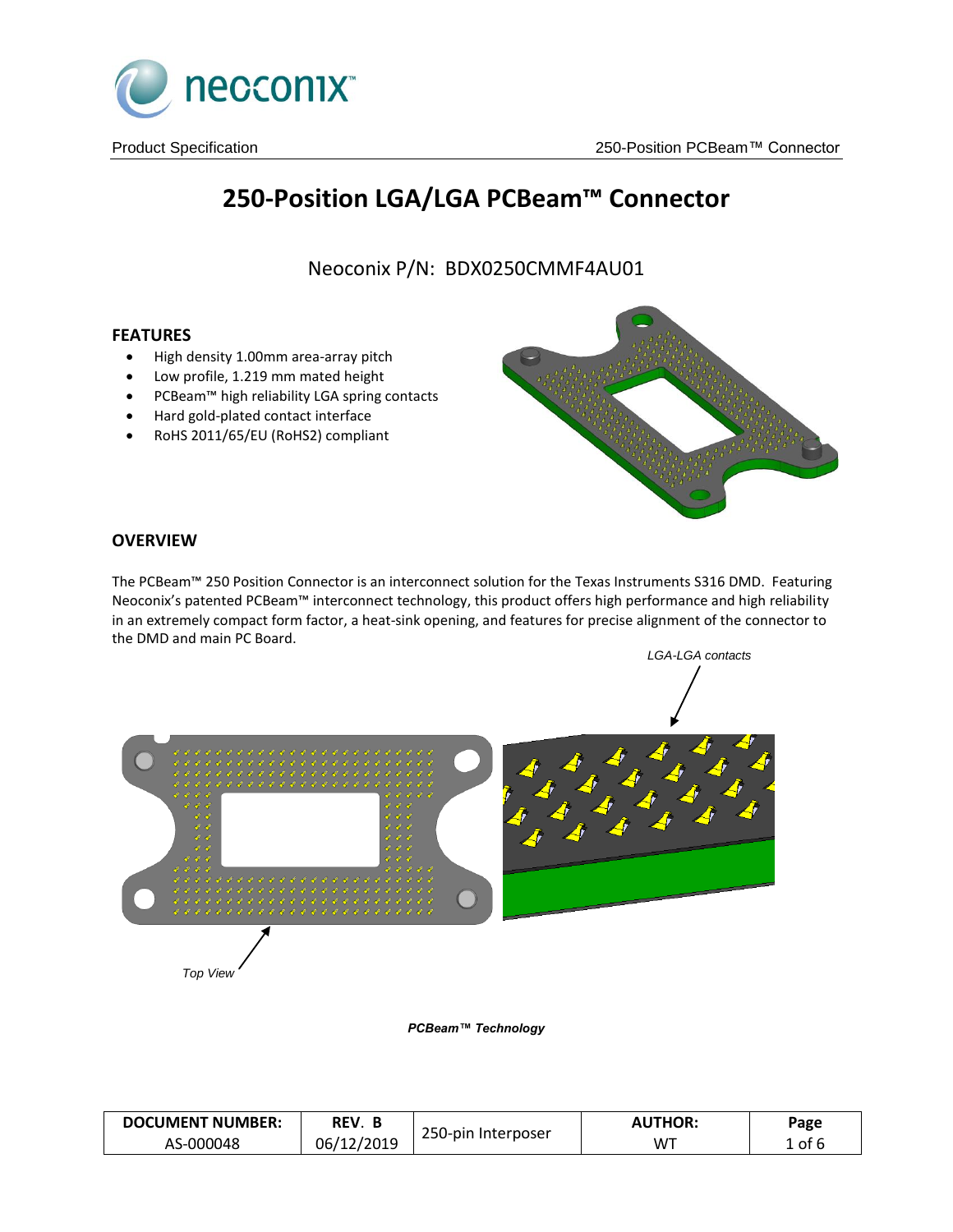

# **250-Position LGA/LGA PCBeam™ Connector**

Neoconix P/N: BDX0250CMMF4AU01

## **FEATURES**

- High density 1.00mm area-array pitch
- Low profile, 1.219 mm mated height
- PCBeam™ high reliability LGA spring contacts
- Hard gold-plated contact interface
- RoHS 2011/65/EU (RoHS2) compliant



## **OVERVIEW**

The PCBeam™ 250 Position Connector is an interconnect solution for the Texas Instruments S316 DMD. Featuring Neoconix's patented PCBeam™ interconnect technology, this product offers high performance and high reliability in an extremely compact form factor, a heat-sink opening, and features for precise alignment of the connector to the DMD and main PC Board.



*PCBeam™ Technology*

| <b>DOCUMENT NUMBER:</b> | REV.       |                    | <b>AUTHOR:</b> | Page   |
|-------------------------|------------|--------------------|----------------|--------|
| AS-000048               | 06/12/2019 | 250-pin Interposer | WT             | L of 6 |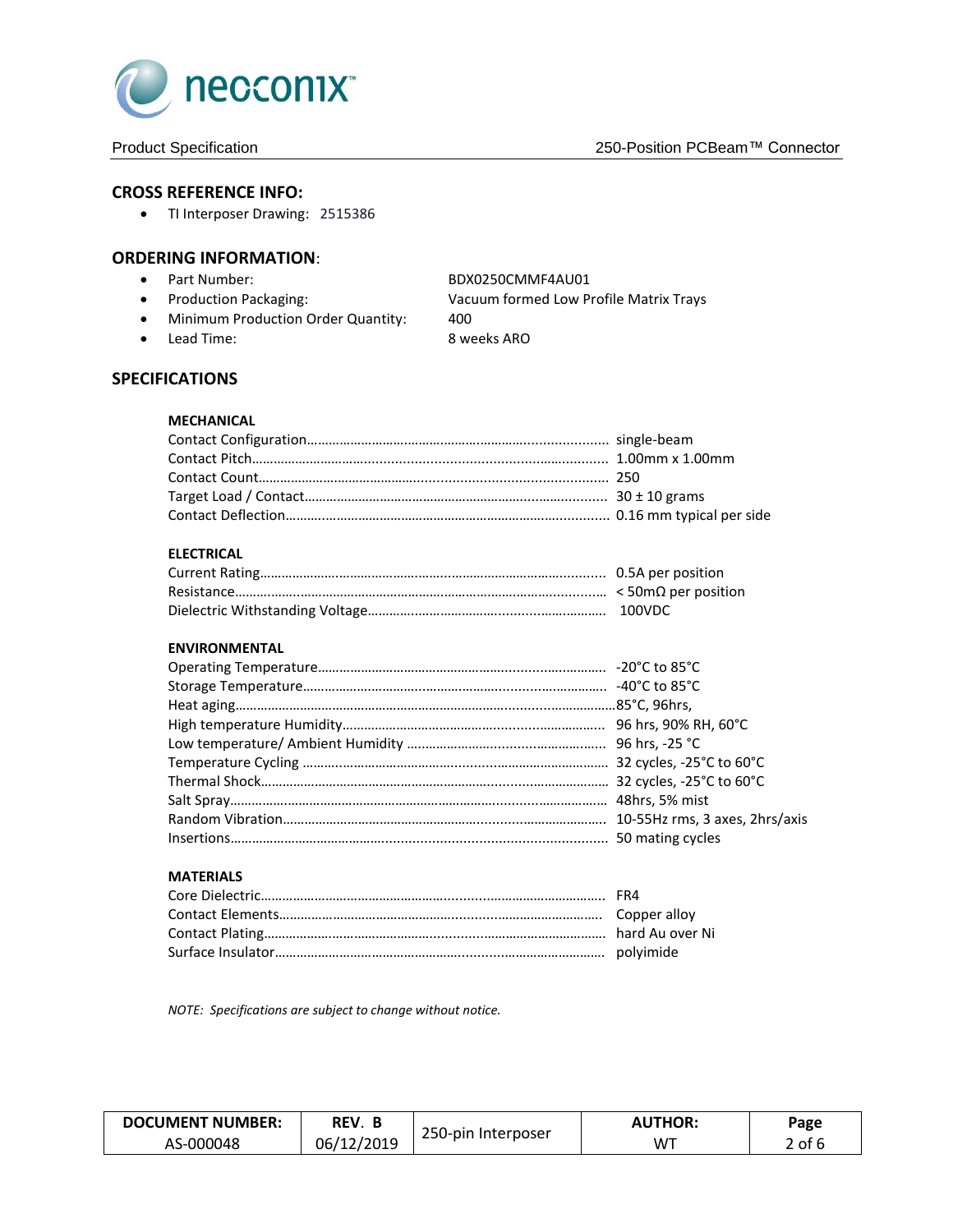

#### **CROSS REFERENCE INFO:**

• TI Interposer Drawing: 2515386

#### **ORDERING INFORMATION**:

- Part Number: BDX0250CMMF4AU01
- 
- Minimum Production Order Quantity: 400
- Lead Time: 8 weeks ARO

Production Packaging: Vacuum formed Low Profile Matrix Trays

## **SPECIFICATIONS**

### **MECHANICAL**

#### **ELECTRICAL**

#### **ENVIRONMENTAL**

#### **MATERIALS**

*NOTE: Specifications are subject to change without notice.*

| <b>DOCUMENT NUMBER:</b> | REV. B     |                    | <b>AUTHOR:</b> | Page   |
|-------------------------|------------|--------------------|----------------|--------|
| AS-000048               | 06/12/2019 | 250-pin Interposer | M™             | 2 of F |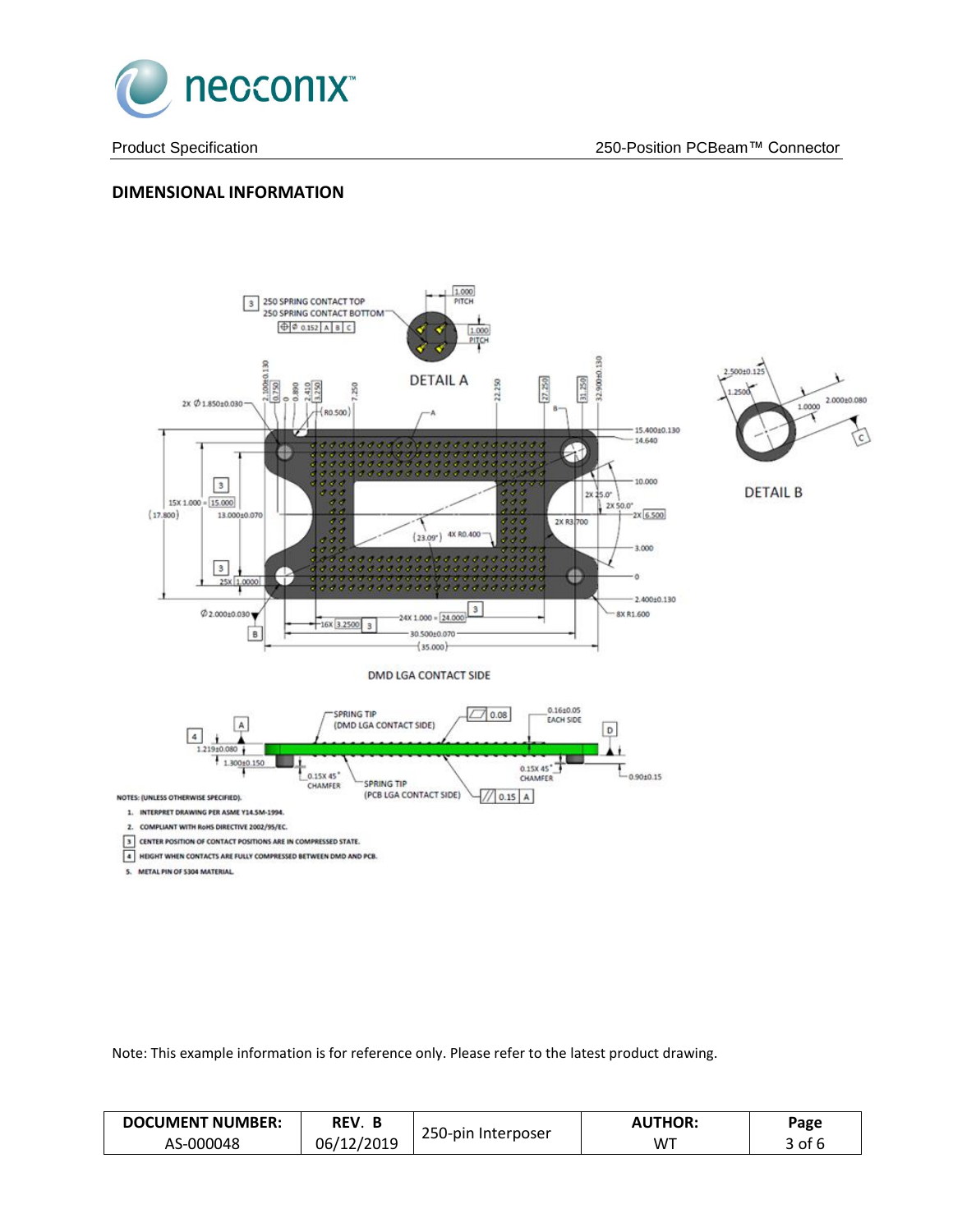

## **DIMENSIONAL INFORMATION**



Note: This example information is for reference only. Please refer to the latest product drawing.

| <b>DOCUMENT NUMBER:</b> | REV. B     |                    | <b>AUTHOR:</b> | Page       |
|-------------------------|------------|--------------------|----------------|------------|
| AS-000048               | 06/12/2019 | 250-pin Interposer | W™             | $3$ of $6$ |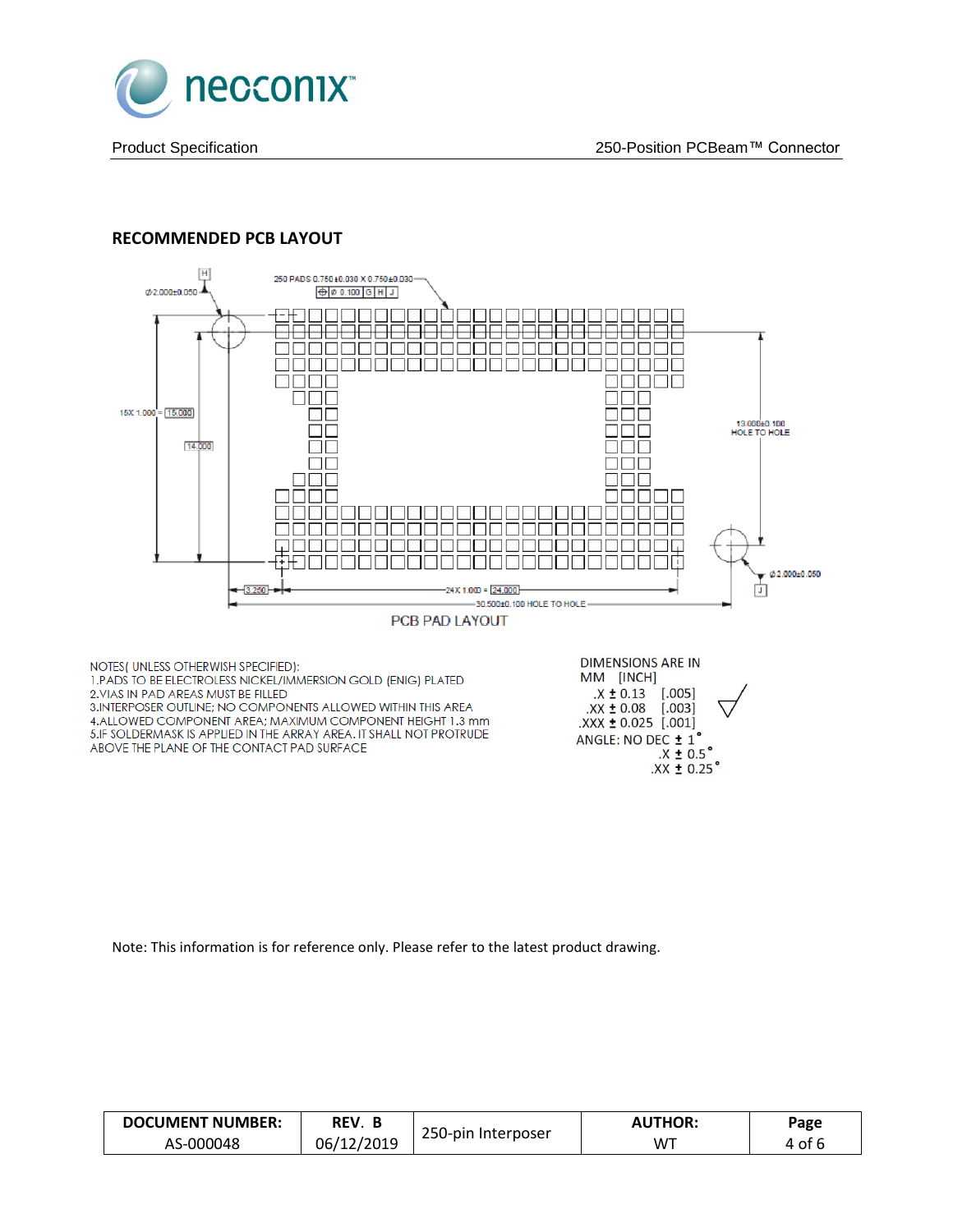

## **RECOMMENDED PCB LAYOUT**



Note: This information is for reference only. Please refer to the latest product drawing.

| <b>DOCUMENT NUMBER:</b> | REV. B     |                    | <b>AUTHOR:</b> | Page   |
|-------------------------|------------|--------------------|----------------|--------|
| AS-000048               | 06/12/2019 | 250-pin Interposer | . WT           | 4 of 6 |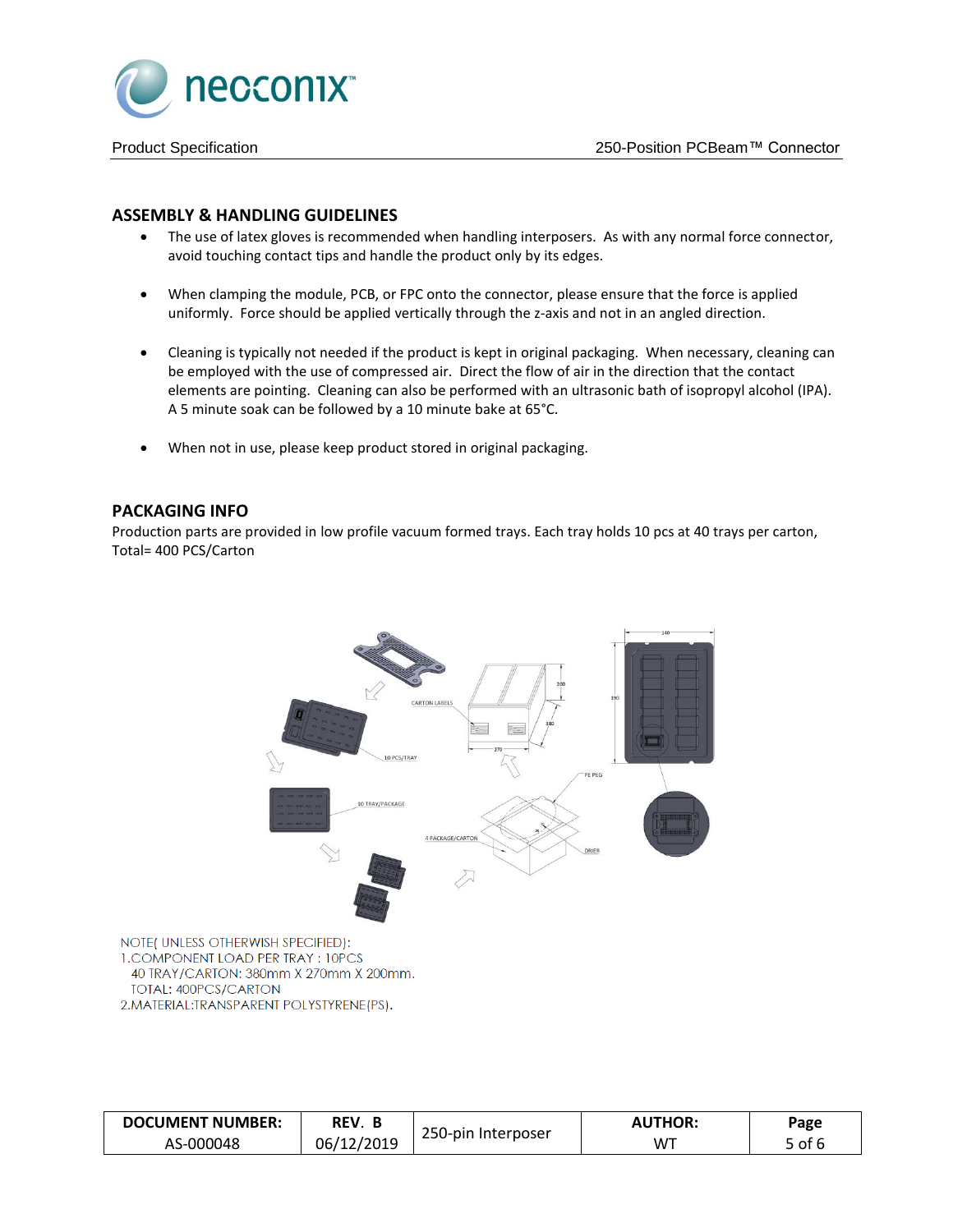

### **ASSEMBLY & HANDLING GUIDELINES**

- The use of latex gloves is recommended when handling interposers. As with any normal force connector, avoid touching contact tips and handle the product only by its edges.
- When clamping the module, PCB, or FPC onto the connector, please ensure that the force is applied uniformly. Force should be applied vertically through the z-axis and not in an angled direction.
- Cleaning is typically not needed if the product is kept in original packaging. When necessary, cleaning can be employed with the use of compressed air. Direct the flow of air in the direction that the contact elements are pointing. Cleaning can also be performed with an ultrasonic bath of isopropyl alcohol (IPA). A 5 minute soak can be followed by a 10 minute bake at 65°C.
- When not in use, please keep product stored in original packaging.

#### **PACKAGING INFO**

Production parts are provided in low profile vacuum formed trays. Each tray holds 10 pcs at 40 trays per carton, Total= 400 PCS/Carton



NOTE(UNLESS OTHERWISH SPECIFIED): **1. COMPONENT LOAD PER TRAY: 10PCS** 40 TRAY/CARTON: 380mm X 270mm X 200mm. TOTAL: 400PCS/CARTON 2. MATERIAL: TRANSPARENT POLYSTYRENE (PS).

| <b>DOCUMENT NUMBER:</b> | REV. B     |                    | <b>AUTHOR:</b> | Page   |
|-------------------------|------------|--------------------|----------------|--------|
| AS-000048               | 06/12/2019 | 250-pin Interposer | $W^+$          | 5 of 6 |